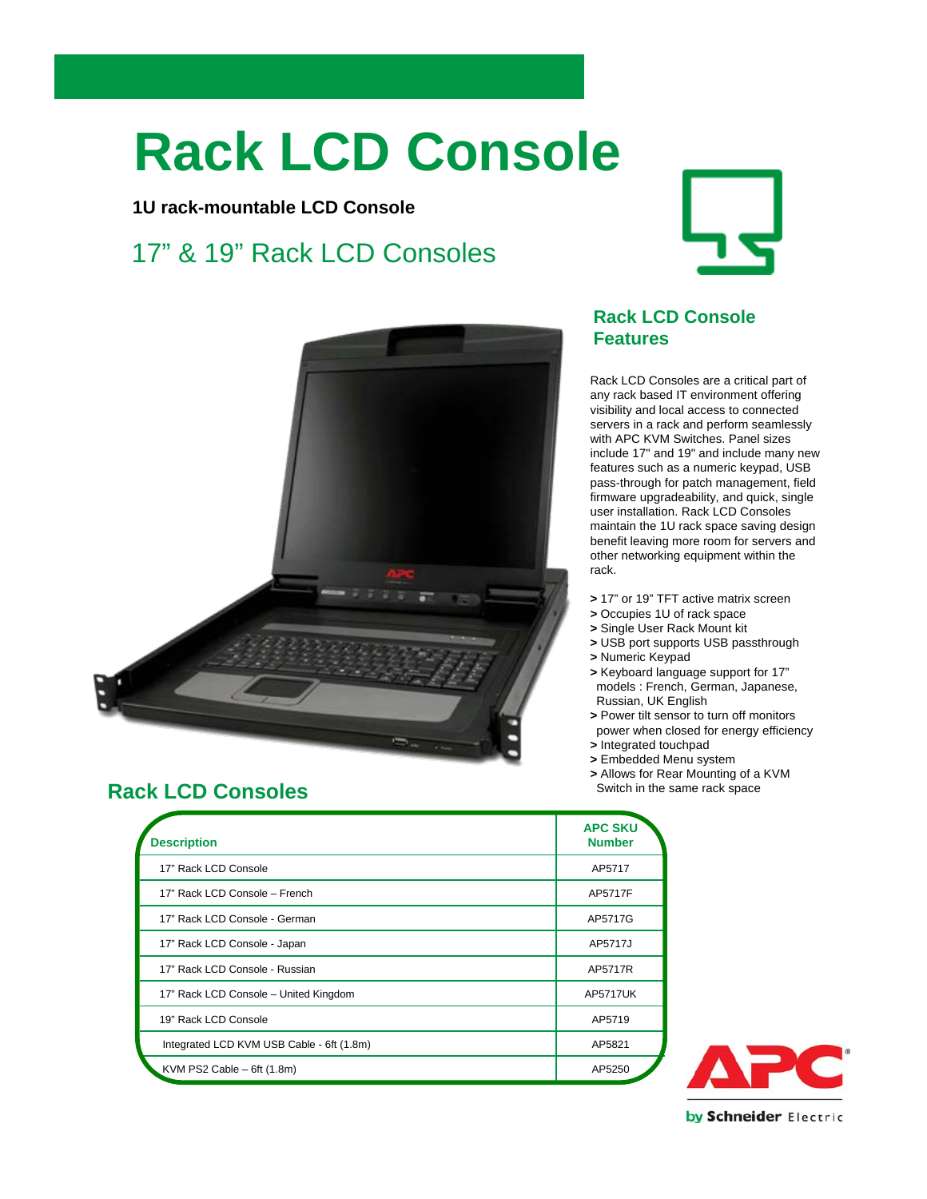# **Rack LCD Console**

#### **1U rack-mountable LCD Console**

## 17" & 19" Rack LCD Consoles





### **Rack LCD Consoles**

| <b>Description</b>                        | <b>APC SKU</b><br><b>Number</b> |
|-------------------------------------------|---------------------------------|
| 17" Rack LCD Console                      | AP5717                          |
| 17" Rack LCD Console - French             | AP5717F                         |
| 17" Rack LCD Console - German             | AP5717G                         |
| 17" Rack LCD Console - Japan              | AP5717J                         |
| 17" Rack LCD Console - Russian            | AP5717R                         |
| 17" Rack LCD Console - United Kingdom     | <b>AP5717UK</b>                 |
| 19" Rack LCD Console                      | AP5719                          |
| Integrated LCD KVM USB Cable - 6ft (1.8m) | AP5821                          |
| KVM PS2 Cable $-$ 6ft (1.8m)              | AP5250                          |

#### **Rack LCD Console Features**

Rack LCD Consoles are a critical part of any rack based IT environment offering visibility and local access to connected servers in a rack and perform seamlessly with APC KVM Switches. Panel sizes include 17" and 19" and include many new features such as a numeric keypad, USB pass-through for patch management, field firmware upgradeability, and quick, single user installation. Rack LCD Consoles maintain the 1U rack space saving design benefit leaving more room for servers and other networking equipment within the rack.

- **>** 17" or 19" TFT active matrix screen
- **>** Occupies 1U of rack space
- **>** Single User Rack Mount kit
- **>** USB port supports USB passthrough
- **>** Numeric Keypad
- **>** Keyboard language support for 17" models : French, German, Japanese, Russian, UK English
- **>** Power tilt sensor to turn off monitors power when closed for energy efficiency
- **>** Integrated touchpad
- **>** Embedded Menu system
- **>** Allows for Rear Mounting of a KVM
- Switch in the same rack space